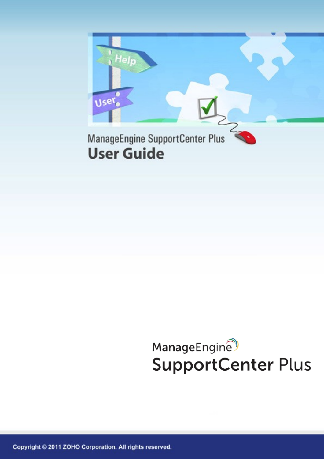

## ManageEngine **SupportCenter Plus**

Copyright © 2011 ZOHO Corporation. All rights reserved.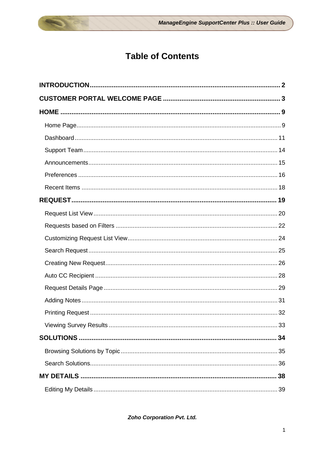## **Table of Contents**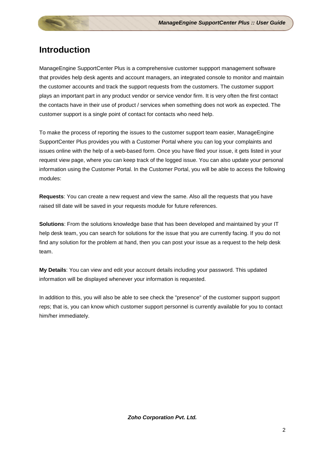## <span id="page-2-0"></span>**Introduction**

ManageEngine SupportCenter Plus is a comprehensive customer suppport management software that provides help desk agents and account managers, an integrated console to monitor and maintain the customer accounts and track the support requests from the customers. The customer support plays an important part in any product vendor or service vendor firm. It is very often the first contact the contacts have in their use of product / services when something does not work as expected. The customer support is a single point of contact for contacts who need help.

To make the process of reporting the issues to the customer support team easier, ManageEngine SupportCenter Plus provides you with a Customer Portal where you can log your complaints and issues online with the help of a web-based form. Once you have filed your issue, it gets listed in your request view page, where you can keep track of the logged issue. You can also update your personal information using the Customer Portal. In the Customer Portal, you will be able to access the following modules:

**Requests**: You can create a new request and view the same. Also all the requests that you have raised till date will be saved in your requests module for future references.

**Solutions**: From the solutions knowledge base that has been developed and maintained by your IT help desk team, you can search for solutions for the issue that you are currently facing. If you do not find any solution for the problem at hand, then you can post your issue as a request to the help desk team.

**My Details**: You can view and edit your account details including your password. This updated information will be displayed whenever your information is requested.

In addition to this, you will also be able to see check the "presence" of the customer support support reps; that is, you can know which customer support personnel is currently available for you to contact him/her immediately.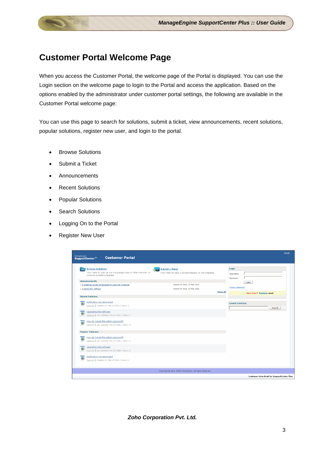## <span id="page-3-0"></span>**Customer Portal Welcome Page**

When you access the Customer Portal, the welcome page of the Portal is displayed. You can use the Login section on the welcome page to login to the Portal and access the application. Based on the options enabled by the administrator under customer portal settings, the following are available in the Customer Portal welcome page:

You can use this page to search for solutions, submit a ticket, view announcements, recent solutions, popular solutions, register new user, and login to the portal.

- Browse Solutions
- Submit a Ticket
- Announcements
- Recent Solutions
- Popular Solutions
- Search Solutions
- Logging On to the Portal
- Register New User

| ManageEngine                                                                                                         |                                                                                 |                 |                               |                                                 | Gmail |
|----------------------------------------------------------------------------------------------------------------------|---------------------------------------------------------------------------------|-----------------|-------------------------------|-------------------------------------------------|-------|
| <b>Customer Portal</b><br>SupportCenter <sup>155</sup>                                                               |                                                                                 |                 |                               |                                                 |       |
| <b>Browse Solutions</b><br>Click here to look up our knowledge base to find solutions to<br>common problems/queries. | <b>Submit a Ticket</b><br>Click here to raise a ticket/request to the Helpdesk. |                 | Login<br>Username<br>Password |                                                 |       |
| <b>Announcements</b><br>» A webinar to be conducted for eServer Chennai<br>» A demo for softcod                      | Posted On Wed, 23 Mar 2011<br>Posted On Wed, 23 Mar 2011                        |                 | Forgot password?              | Login                                           |       |
| <b>Recent Solutions</b>                                                                                              |                                                                                 | <b>Show All</b> |                               | New User? Register now!                         |       |
| Notification not generated<br>$^{\circ}$<br>General,   Created On: Mar 25 2011   Views: 1<br>Upgrading the software  |                                                                                 |                 | <b>Search Solutions</b>       | Search                                          |       |
| $^{\circ}$<br>General   Last Updated: Mar 25 2011   Views: 2<br>How do I reset the admin password?                   |                                                                                 |                 |                               |                                                 |       |
| $^{\circ}$<br>General   Last Updated: Mar 25 2011   Views: 4                                                         |                                                                                 |                 |                               |                                                 |       |
| <b>Popular Solutions</b>                                                                                             |                                                                                 |                 |                               |                                                 |       |
| How do I reset the admin password?<br>$^{\circ}$<br>General   Last Updated: Mar 25 2011   Views: 4                   |                                                                                 |                 |                               |                                                 |       |
| Upgrading the software<br>ø<br>General   Last Updated: Mar 25 2011   Views: 2                                        |                                                                                 |                 |                               |                                                 |       |
| Notification not generated<br>$\circ$<br>General   Created On: Mar 25 2011   Views: 1                                |                                                                                 |                 |                               |                                                 |       |
|                                                                                                                      | Copyright @ 2011 ZOHO Corporation. All rights reserved.                         |                 |                               |                                                 |       |
|                                                                                                                      |                                                                                 |                 |                               | <b>Customer Help Desk by SupportCenter Plus</b> |       |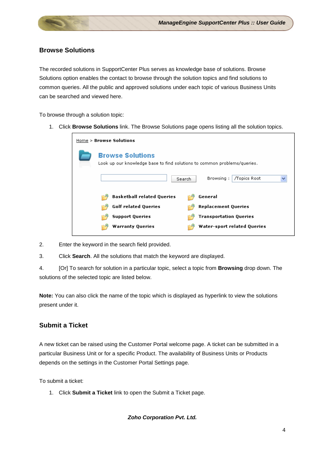#### **Browse Solutions**

The recorded solutions in SupportCenter Plus serves as knowledge base of solutions. Browse Solutions option enables the contact to browse through the solution topics and find solutions to common queries. All the public and approved solutions under each topic of various Business Units can be searched and viewed here.

To browse through a solution topic:

1. Click **Browse Solutions** link. The Browse Solutions page opens listing all the solution topics.

| Home > Browse Solutions                                                                             |
|-----------------------------------------------------------------------------------------------------|
| <b>Browse Solutions</b><br>Look up our knowledge base to find solutions to common problems/queries. |
| /Topics Root<br>Browsing:<br>Search                                                                 |
| <b>Basketball related Queries</b><br>General                                                        |
| <b>Golf related Queries</b><br><b>Replacement Queries</b>                                           |
| <b>Transportation Queries</b><br><b>Support Queries</b>                                             |
| <b>Water-sport related Queries</b><br><b>Warranty Queries</b>                                       |

- 2. Enter the keyword in the search field provided.
- 3. Click **Search**. All the solutions that match the keyword are displayed.

4. [Or] To search for solution in a particular topic, select a topic from **Browsing** drop down. The solutions of the selected topic are listed below.

**Note:** You can also click the name of the topic which is displayed as hyperlink to view the solutions present under it.

#### **Submit a Ticket**

A new ticket can be raised using the Customer Portal welcome page. A ticket can be submitted in a particular Business Unit or for a specific Product. The availability of Business Units or Products depends on the settings in the Customer Portal Settings page.

To submit a ticket:

1. Click **Submit a Ticket** link to open the Submit a Ticket page.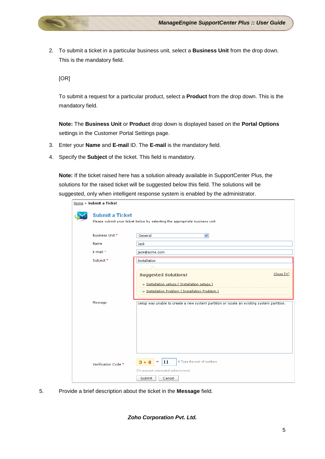2. To submit a ticket in a particular business unit, select a **Business Unit** from the drop down. This is the mandatory field.

[OR]

To submit a request for a particular product, select a **Product** from the drop down. This is the mandatory field.

**Note:** The **Business Unit** or **Product** drop down is displayed based on the **Portal Options** settings in the Customer Portal Settings page.

- 3. Enter your **Name** and **E-mail** ID. The **E-mail** is the mandatory field.
- 4. Specify the **Subject** of the ticket. This field is mandatory.

**Note:** If the ticket raised here has a solution already available in SupportCenter Plus, the solutions for the raised ticket will be suggested below this field. The solutions will be suggested, only when intelligent response system is enabled by the administrator.

| Home > Submit a Ticket |                                                                                                                                                                                                                                       |
|------------------------|---------------------------------------------------------------------------------------------------------------------------------------------------------------------------------------------------------------------------------------|
| <b>Submit a Ticket</b> | Please submit your ticket below by selecting the appropriate business unit                                                                                                                                                            |
| Business Unit *        | General<br>$\checkmark$                                                                                                                                                                                                               |
| Name                   | Jack                                                                                                                                                                                                                                  |
| E-mail *               | jack@acme.com                                                                                                                                                                                                                         |
| Subject*               | Installation                                                                                                                                                                                                                          |
| Message                | Close [X]<br><b>Suggested Solutions!</b><br>» Installation setups (Installation setups)<br>» Installation Problem (Installation Problem)<br>Setup was unable to create a new system partition or locate an existing system partition. |
| Verification Code *    | « Type the sum of numbers<br>11<br>$3+8$<br>$=$<br>(To prevent automated submissions)<br>Submit<br>Cancel                                                                                                                             |

5. Provide a brief description about the ticket in the **Message** field.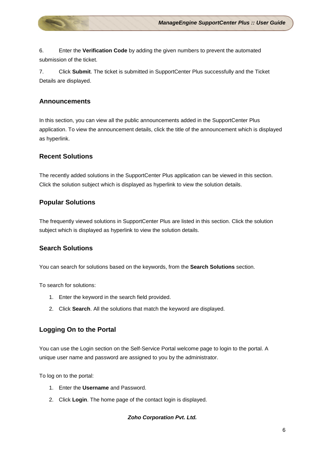6. Enter the **Verification Code** by adding the given numbers to prevent the automated submission of the ticket.

7. Click **Submit**. The ticket is submitted in SupportCenter Plus successfully and the Ticket Details are displayed.

#### **Announcements**

In this section, you can view all the public announcements added in the SupportCenter Plus application. To view the announcement details, click the title of the announcement which is displayed as hyperlink.

#### **Recent Solutions**

The recently added solutions in the SupportCenter Plus application can be viewed in this section. Click the solution subject which is displayed as hyperlink to view the solution details.

#### **Popular Solutions**

The frequently viewed solutions in SupportCenter Plus are listed in this section. Click the solution subject which is displayed as hyperlink to view the solution details.

#### **Search Solutions**

You can search for solutions based on the keywords, from the **Search Solutions** section.

To search for solutions:

- 1. Enter the keyword in the search field provided.
- 2. Click **Search**. All the solutions that match the keyword are displayed.

#### **Logging On to the Portal**

You can use the Login section on the Self-Service Portal welcome page to login to the portal. A unique user name and password are assigned to you by the administrator.

To log on to the portal:

- 1. Enter the **Username** and Password.
- 2. Click **Login**. The home page of the contact login is displayed.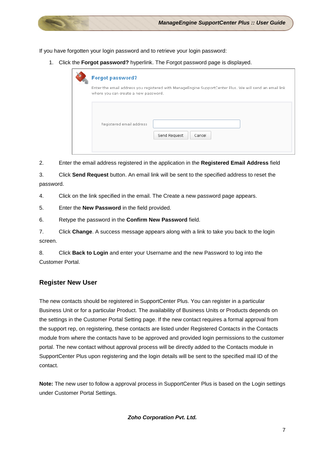If you have forgotten your login password and to retrieve your login password:

1. Click the **Forgot password?** hyperlink. The Forgot password page is displayed.

| <b>Forgot password?</b>                                                                                                                         |
|-------------------------------------------------------------------------------------------------------------------------------------------------|
| Enter the email address you registered with ManageEngine SupportCenter Plus. We will send an email link<br>where you can create a new password. |
| Registered email address<br>Send Request<br>Cancel                                                                                              |

2. Enter the email address registered in the application in the **Registered Email Address** field

3. Click **Send Request** button. An email link will be sent to the specified address to reset the password.

4. Click on the link specified in the email. The Create a new password page appears.

5. Enter the **New Password** in the field provided.

6. Retype the password in the **Confirm New Password** field.

7. Click **Change**. A success message appears along with a link to take you back to the login screen.

8. Click **Back to Login** and enter your Username and the new Password to log into the Customer Portal.

#### **Register New User**

The new contacts should be registered in SupportCenter Plus. You can register in a particular Business Unit or for a particular Product. The availability of Business Units or Products depends on the settings in the Customer Portal Setting page. If the new contact requires a formal approval from the support rep, on registering, these contacts are listed under Registered Contacts in the Contacts module from where the contacts have to be approved and provided login permissions to the customer portal. The new contact without approval process will be directly added to the Contacts module in SupportCenter Plus upon registering and the login details will be sent to the specified mail ID of the contact.

**Note:** The new user to follow a approval process in SupportCenter Plus is based on the Login settings under Customer Portal Settings.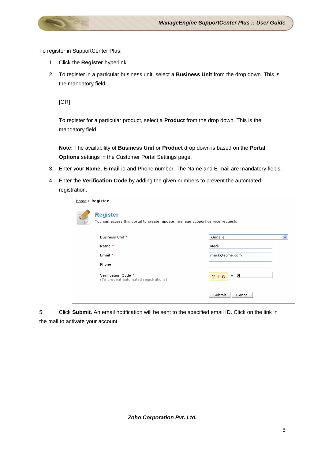To register in SupportCenter Plus:

- 1. Click the **Register** hyperlink.
- 2. To register in a particular business unit, select a **Business Unit** from the drop down. This is the mandatory field.

[OR]

To register for a particular product, select a **Product** from the drop down. This is the mandatory field.

**Note:** The availability of **Business Unit** or **Product** drop down is based on the **Portal Options** settings in the Customer Portal Settings page.

- 3. Enter your **Name**, **E-mail** id and Phone number. The Name and E-mail are mandatory fields.
- 4. Enter the **Verification Code** by adding the given numbers to prevent the automated registration.

| Home > Register                                                                                   |                   |  |
|---------------------------------------------------------------------------------------------------|-------------------|--|
| <b>Register</b><br>You can access this portal to create, update, manage support service requests. |                   |  |
| Business Unit *                                                                                   | General           |  |
| Name *                                                                                            | Mack              |  |
| Email *                                                                                           | mack@acme.com     |  |
| Phone                                                                                             |                   |  |
| Verification Code *<br>(To prevent automated registrations)                                       | $=  8$<br>$2 + 6$ |  |
|                                                                                                   | Submit<br>Cancel  |  |

5. Click **Submit**. An email notification will be sent to the specified email ID. Click on the link in the mail to activate your account.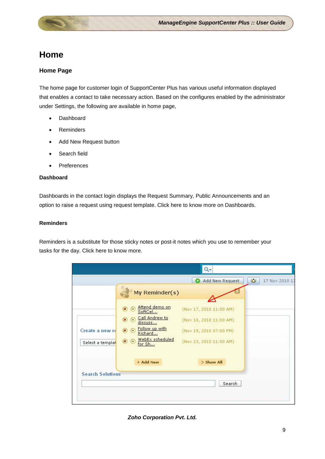## <span id="page-9-0"></span>**Home**

#### <span id="page-9-1"></span>**Home Page**

The home page for customer login of SupportCenter Plus has various useful information displayed that enables a contact to take necessary action. Based on the configures enabled by the administrator under Settings, the following are available in home page,

- Dashboard
- **Reminders**
- Add New Request button
- Search field
- Preferences

#### **Dashboard**

Dashboards in the contact login displays the Request Summary, Public Announcements and an option to raise a request using request template. Click here to know more on Dashboards.

#### **Reminders**

Reminders is a substitute for those sticky notes or post-it notes which you use to remember your tasks for the day. Click here to know more.

|                         | My Reminder(s)                                              |                         |  |
|-------------------------|-------------------------------------------------------------|-------------------------|--|
|                         | Attend demo on<br>$\bf x$<br>$\bullet$<br>SoftCel           | (Nov 17, 2010 11:00 AM) |  |
|                         | Call Andrew to<br>$\mathbf{x}$<br>$\blacksquare$<br>discuss | (Nov 18, 2010 11:00 AM) |  |
| Create a new re         | Follow up with<br>$\bullet$ $\bullet$<br>Richard            | (Nov 19, 2010 07:00 PM) |  |
| Select a templat        | WebEx scheduled<br>$\circledcirc$<br>for Sh                 | (Nov 23, 2010 11:00 AM) |  |
|                         | + Add New                                                   | $>$ Show All            |  |
| <b>Search Solutions</b> |                                                             |                         |  |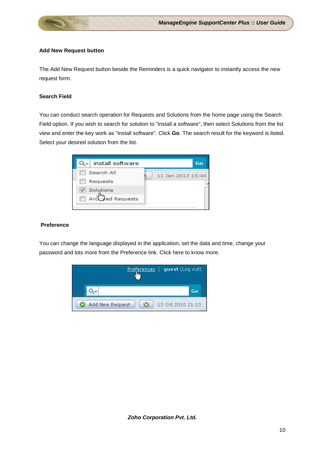#### **Add New Request button**

The Add New Request button beside the Reminders is a quick navigator to instantly access the new request form.

#### **Search Field**

You can conduct search operation for Requests and Solutions from the home page using the Search Field option. If you wish to search for solution to "install a software", then select Solutions from the list view and enter the key work as "install software". Click **Go**. The search result for the keyword is listed. Select your desired solution from the list.



#### **Preference**

You can change the language displayed in the application, set the data and time, change your password and lots more from the Preference link. Click here to know more.

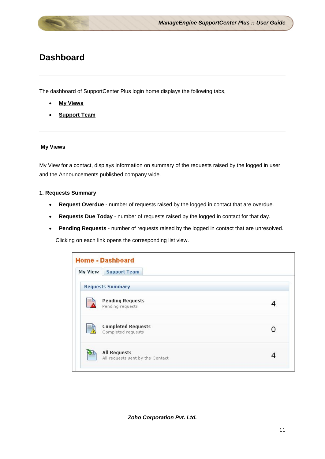## <span id="page-11-0"></span>**Dashboard**

The dashboard of SupportCenter Plus login home displays the following tabs,

- **My Views**
- **Support Team**

#### **My Views**

My View for a contact, displays information on summary of the requests raised by the logged in user and the Announcements published company wide.

#### **1. Requests Summary**

- **Request Overdue** number of requests raised by the logged in contact that are overdue.
- **Requests Due Today** number of requests raised by the logged in contact for that day.
- **Pending Requests** number of requests raised by the logged in contact that are unresolved.

Clicking on each link opens the corresponding list view.

| My View<br><b>Support Team</b>                          |  |
|---------------------------------------------------------|--|
| <b>Requests Summary</b>                                 |  |
| <b>Pending Requests</b><br>Pending requests             |  |
| <b>Completed Requests</b><br>EĀ<br>Completed requests   |  |
| <b>All Requests</b><br>All requests sent by the Contact |  |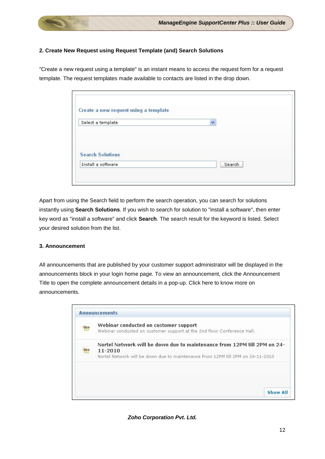

#### **2. Create New Request using Request Template (and) Search Solutions**

"Create a new request using a template" is an instant means to access the request form for a request template. The request templates made available to contacts are listed in the drop down.

| Create a new request using a template |             |
|---------------------------------------|-------------|
| Select a template                     | $\ddotmark$ |
| <b>Search Solutions</b>               |             |
| Install a software                    | Search      |

Apart from using the Search field to perform the search operation, you can search for solutions instantly using **Search Solutions**. If you wish to search for solution to "install a software", then enter key word as "install a software" and click **Search**. The search result for the keyword is listed. Select your desired solution from the list.

#### **3. Announcement**

All announcements that are published by your customer support administrator will be displayed in the announcements block in your login home page. To view an announcement, click the Announcement Title to open the complete announcement details in a pop-up. Click here to know more on announcements.

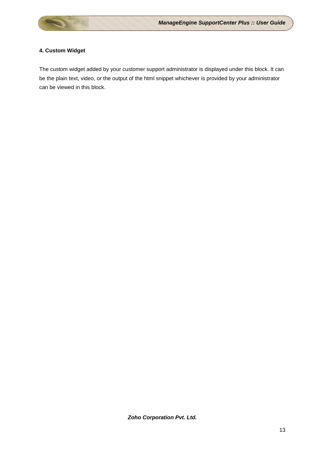#### **4. Custom Widget**

The custom widget added by your customer support administrator is displayed under this block. It can be the plain text, video, or the output of the html snippet whichever is provided by your administrator can be viewed in this block.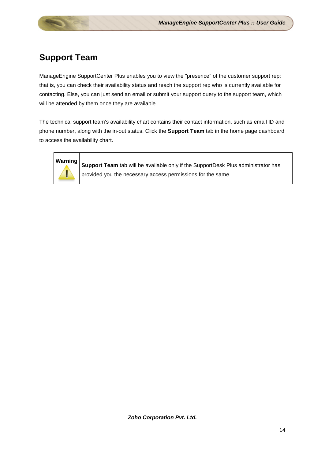## <span id="page-14-0"></span>**Support Team**

ManageEngine SupportCenter Plus enables you to view the "presence" of the customer support rep; that is, you can check their availability status and reach the support rep who is currently available for contacting. Else, you can just send an email or submit your support query to the support team, which will be attended by them once they are available.

The technical support team's availability chart contains their contact information, such as email ID and phone number, along with the in-out status. Click the **Support Team** tab in the home page dashboard to access the availability chart.



**Warning Support Team** tab will be available only if the SupportDesk Plus administrator has provided you the necessary access permissions for the same.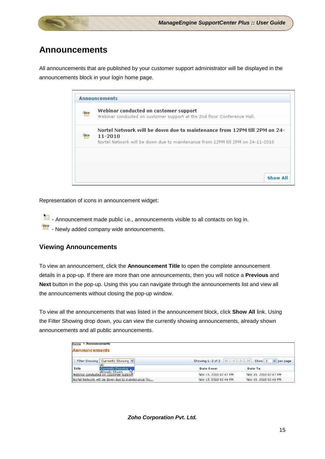## <span id="page-15-0"></span>**Announcements**

All announcements that are published by your customer support administrator will be displayed in the announcements block in your login home page.

| TIEW        | Webinar conducted on customer support<br>Webinar conducted on customer support at the 2nd floor Conference Hall.                                                       |
|-------------|------------------------------------------------------------------------------------------------------------------------------------------------------------------------|
| <b>TIEW</b> | Nortel Network will be down due to maintenance from 12PM till 2PM on 24-<br>11-2010<br>Nortel Network will be down due to maintenance from 12PM till 2PM on 24-11-2010 |
|             |                                                                                                                                                                        |
|             |                                                                                                                                                                        |
|             |                                                                                                                                                                        |

Representation of icons in announcement widget:

Announcement made public i.e., announcements visible to all contacts on log in.

 $\frac{2\pi m}{\pi}$  - Newly added company wide announcements.

#### **Viewing Announcements**

To view an announcement, click the **Announcement Title** to open the complete announcement details in a pop-up. If there are more than one announcements, then you will notice a **Previous** and **Next** button in the pop-up. Using this you can navigate through the announcements list and view all the announcements without closing the pop-up window.

To view all the announcements that was listed in the announcement block, click **Show All** link. Using the Filter Showing drop down, you can view the currently showing announcements, already shown announcements and all public announcements.

| Announcements<br>Home $\geq$<br><b>Announcements</b>   |                                                                                            |                       |
|--------------------------------------------------------|--------------------------------------------------------------------------------------------|-----------------------|
| Filter Showing Currently Showing<br>All                | Showing 1-2 of 2 $\mathbb{R}$ $\rightarrow$ $\mathbb{R}$ $\rightarrow$ $\mathbb{R}$ Show 2 | $\vee$ per page       |
| Currently Showing<br>Title                             | <b>Date From</b>                                                                           | Date To               |
| Already Shown<br>Webinar conducted on customer support | Nov 15, 2010 02:47 PM                                                                      | Nov 30, 2010 02:47 PM |
| Nortel Network will be down due to maintenance fro     | Nov 15, 2010 02:46 PM                                                                      | Nov 30, 2010 02:46 PM |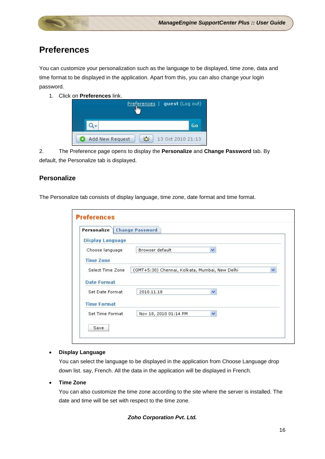## <span id="page-16-0"></span>**Preferences**

You can customize your personalization such as the language to be displayed, time zone, data and time format to be displayed in the application. Apart from this, you can also change your login password.

1. Click on **Preferences** link.



2. The Preference page opens to display the **Personalize** and **Change Password** tab. By default, the Personalize tab is displayed.

#### **Personalize**

The Personalize tab consists of display language, time zone, date format and time format.

| Personalize             | <b>Change Password</b>                         |              |
|-------------------------|------------------------------------------------|--------------|
| <b>Display Language</b> |                                                |              |
| Choose language         | Browser default<br>Ÿ                           |              |
| <b>Time Zone</b>        |                                                |              |
| Select Time Zone        | (GMT+5:30) Chennai, Kolkata, Mumbai, New Delhi | $\checkmark$ |
| <b>Date Format</b>      |                                                |              |
| Set Date Format         | 2010.11.18<br>$\overline{\mathbf{v}}$          |              |
|                         |                                                |              |
| <b>Time Format</b>      |                                                |              |

#### • **Display Language**

You can select the language to be displayed in the application from Choose Language drop down list. say, French. All the data in the application will be displayed in French.

#### • **Time Zone**

You can also customize the time zone according to the site where the server is installed. The date and time will be set with respect to the time zone.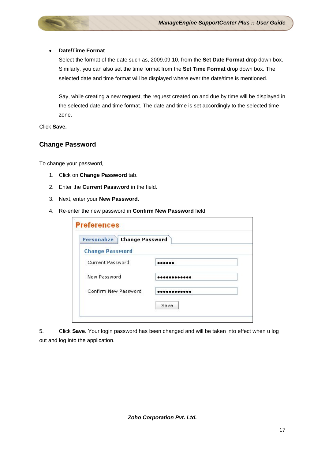#### • **Date/Time Format**

Select the format of the date such as, 2009.09.10, from the **Set Date Format** drop down box. Similarly, you can also set the time format from the **Set Time Format** drop down box. The selected date and time format will be displayed where ever the date/time is mentioned.

Say, while creating a new request, the request created on and due by time will be displayed in the selected date and time format. The date and time is set accordingly to the selected time zone.

Click **Save.**

#### **Change Password**

To change your password,

- 1. Click on **Change Password** tab.
- 2. Enter the **Current Password** in the field.
- 3. Next, enter your **New Password**.
- 4. Re-enter the new password in **Confirm New Password** field.

| Personalize Change Password |      |
|-----------------------------|------|
| <b>Change Password</b>      |      |
| <b>Current Password</b>     |      |
| New Password                |      |
| Confirm New Password        |      |
|                             | Save |

5. Click **Save**. Your login password has been changed and will be taken into effect when u log out and log into the application.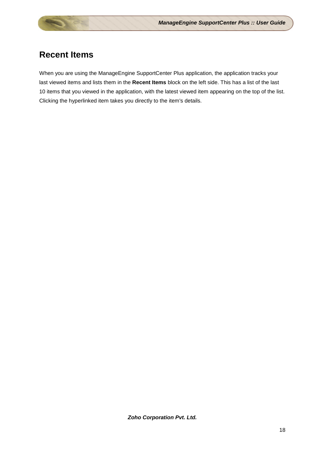## <span id="page-18-0"></span>**Recent Items**

When you are using the ManageEngine SupportCenter Plus application, the application tracks your last viewed items and lists them in the **Recent Items** block on the left side. This has a list of the last 10 items that you viewed in the application, with the latest viewed item appearing on the top of the list. Clicking the hyperlinked item takes you directly to the item's details.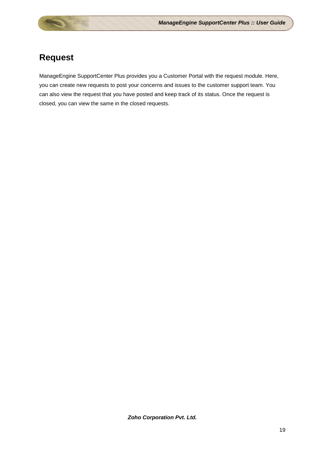## <span id="page-19-0"></span>**Request**

ManageEngine SupportCenter Plus provides you a Customer Portal with the request module. Here, you can create new requests to post your concerns and issues to the customer support team. You can also view the request that you have posted and keep track of its status. Once the request is closed, you can view the same in the closed requests.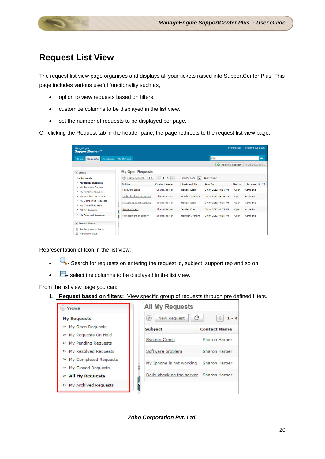### <span id="page-20-0"></span>**Request List View**

The request list view page organises and displays all your tickets raised into SupportCenter Plus. This page includes various useful functionality such as,

- option to view requests based on filters.
- customize columns to be displayed in the list view.
- set the number of requests to be displayed per page.

On clicking the Request tab in the header pane, the page redirects to the request list view page.

| ManageEngine<br>SupportCenter <sup>N</sup>                  |                           |                         |                     |                               |                      |               | Preferences   sharon (Log out) |
|-------------------------------------------------------------|---------------------------|-------------------------|---------------------|-------------------------------|----------------------|---------------|--------------------------------|
| <b>Solutions</b><br><b>Requests</b><br>Home                 | <b>My Details</b>         |                         |                     |                               | $Q_{\tau}$           |               | Go                             |
|                                                             |                           |                         |                     |                               | Add New Request      |               | 9 Oct 2012 14:21               |
| $\vee$ Views                                                |                           | <b>My Open Requests</b> |                     |                               |                      |               |                                |
| <b>My Requests</b>                                          | (2)<br>New Request        | C                       | $41 - 5$            | $\overline{ }$<br>25 per page | <b>Row Count</b>     |               |                                |
| » My Open Requests                                          | <b>Subject</b>            |                         | <b>Contact Name</b> | <b>Assigned To</b>            | Due By               | <b>Status</b> | Account Q H                    |
| <sup>33</sup> My Requests On Hold<br>» My Pending Requests  | Hardware Issue            |                         | Sharon Harper       | <b>Howard Stern</b>           | Oct 9, 2012 04:14 PM | Open          | Acme Inc.                      |
| » My Resolved Requests                                      | Daily check on the server |                         | Sharon Harper       | <b>Heather Graham</b>         | Oct 9, 2012 04:04 PM | Open          | Acme Inc                       |
| <sup>33</sup> My Completed Requests<br>» My Closed Requests | My Iphone is not working  |                         | Sharon Harper       | <b>Howard Stern</b>           | Oct 9, 2012 04:06 PM | Open          | Acme Inc.                      |
| <sup>33</sup> All My Requests                               | <b>System Crash</b>       |                         | Sharon Harper       | Jeniffer Doe                  | Oct 9, 2012 04:05 PM | Open          | Acme Inc                       |
| » My Archived Requests                                      | Replacement of battery    |                         | Sharon Harper       | <b>Heather Graham</b>         | Oct 9, 2012 04:15 PM | Open          | Acme Inc                       |
| Recent Items                                                |                           |                         |                     |                               |                      |               |                                |
| Replacement of batte<br>£.<br>£.<br><b>Hardware Issue</b>   |                           |                         |                     |                               |                      |               |                                |

Representation of Icon in the list view:

- **•** Search for requests on entering the request id, subject, support rep and so on.
- $\Box$  select the columns to be displayed in the list view.

From the list view page you can:

1. **Request based on filters:** View specific group of requests through pre defined filters.

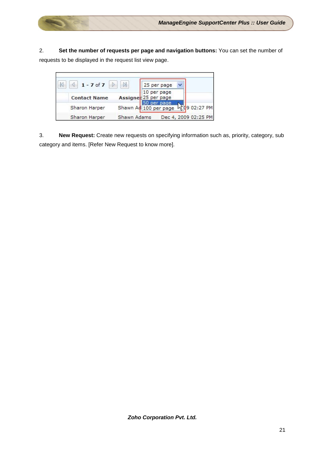2. **Set the number of requests per page and navigation buttons:** You can set the number of requests to be displayed in the request list view page.



3. **New Request:** Create new requests on specifying information such as, priority, category, sub category and items. [Refer New Request to know more].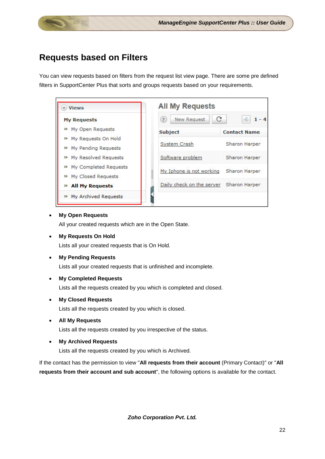## <span id="page-22-0"></span>**Requests based on Filters**

You can view requests based on filters from the request list view page. There are some pre defined filters in SupportCenter Plus that sorts and groups requests based on your requirements.



#### • **My Open Requests**

All your created requests which are in the Open State.

• **My Requests On Hold**

Lists all your created requests that is On Hold.

• **My Pending Requests**

Lists all your created requests that is unfinished and incomplete.

• **My Completed Requests**

Lists all the requests created by you which is completed and closed.

• **My Closed Requests**

Lists all the requests created by you which is closed.

• **All My Requests**

Lists all the requests created by you irrespective of the status.

• **My Archived Requests**

Lists all the requests created by you which is Archived.

If the contact has the permission to view "**All requests from their account** (Primary Contact)" or "**All requests from their account and sub account**", the following options is available for the contact.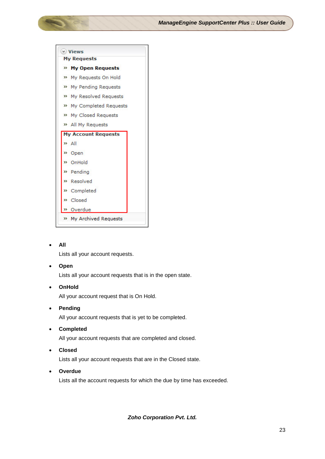

#### • **All**

Lists all your account requests.

#### • **Open**

Lists all your account requests that is in the open state.

#### • **OnHold**

All your account request that is On Hold.

#### • **Pending**

All your account requests that is yet to be completed.

• **Completed**

All your account requests that are completed and closed.

• **Closed**

Lists all your account requests that are in the Closed state.

• **Overdue**

Lists all the account requests for which the due by time has exceeded.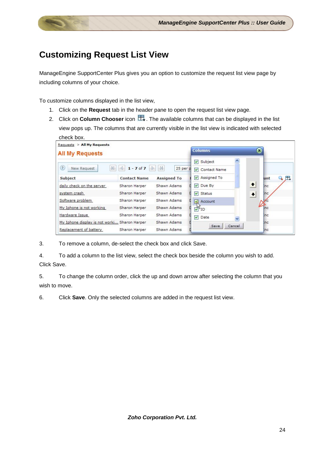## <span id="page-24-0"></span>**Customizing Request List View**

ManageEngine SupportCenter Plus gives you an option to customize the request list view page by including columns of your choice.

To customize columns displayed in the list view,

- 1. Click on the **Request** tab in the header pane to open the request list view page.
- 2. Click on **Column Chooser** icon  $\mathbb{H}$ . The available columns that can be displayed in the list view pops up. The columns that are currently visible in the list view is indicated with selected check box.

| Requests > All My Requests                   |                     |                    |                                                |                        |
|----------------------------------------------|---------------------|--------------------|------------------------------------------------|------------------------|
| <b>All My Requests</b>                       |                     |                    | <b>Columns</b>                                 | Ŧ)                     |
|                                              |                     |                    | <b>▽</b> Subject                               |                        |
| $\left( 2\right)$<br>New Request             | $1 - 7$ of $7$      | 25 per p           | $\overline{\mathbf{v}}$<br><b>Contact Name</b> |                        |
| <b>Subject</b>                               | <b>Contact Name</b> | <b>Assigned To</b> | Assigned To<br>▿                               | unt                    |
| daily check on the server                    | Sharon Harper       | Shawn Adams        | Due By<br>$\blacktriangledown$                 | $\blacklozenge$<br>Inc |
| system crash                                 | Sharon Harper       | Shawn Adams        | $\triangledown$ Status                         | $\bullet$<br>Inc       |
| Software problem                             | Sharon Harper       | Shawn Adams        | M<br>Account                                   | ñс                     |
| My Iphone is not working                     | Sharon Harper       | Shawn Adams        | $\Delta$ <sup>ID</sup>                         | inc                    |
| Hardware Issue                               | Sharon Harper       | Shawn Adams        | $\triangledown$ Date                           | Inc                    |
| My Iphone display is not worki Sharon Harper |                     | Shawn Adams        | Cancel<br>Save                                 | lnc                    |
| Replacement of battery                       | Sharon Harper       | Shawn Adams        |                                                | Inc                    |

3. To remove a column, de-select the check box and click Save.

4. To add a column to the list view, select the check box beside the column you wish to add. Click Save.

5. To change the column order, click the up and down arrow after selecting the column that you wish to move.

6. Click **Save**. Only the selected columns are added in the request list view.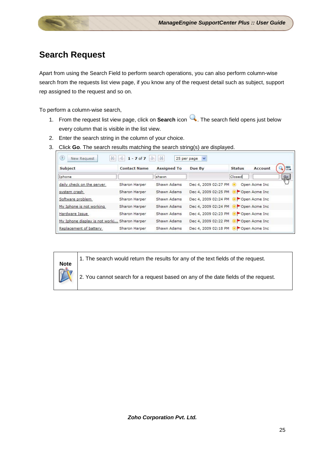## <span id="page-25-0"></span>**Search Request**

Apart from using the Search Field to perform search operations, you can also perform column-wise search from the requests list view page, if you know any of the request detail such as subject, support rep assigned to the request and so on.

To perform a column-wise search,

- 1. From the request list view page, click on **Search** icon **4.** The search field opens just below every column that is visible in the list view.
- 2. Enter the search string in the column of your choice.
- 3. Click **Go**. The search results matching the search string(s) are displayed.

| Subject                                      | <b>Contact Name</b> | <b>Assigned To</b> | Due By                                | <b>Status</b> | Account       |
|----------------------------------------------|---------------------|--------------------|---------------------------------------|---------------|---------------|
| Iphone                                       |                     | shawn              |                                       | Closed        |               |
| daily check on the server                    | Sharon Harper       | Shawn Adams        | Dec 4, 2009 02:27 PM .                |               | Open Acme Inc |
| system crash                                 | Sharon Harper       | Shawn Adams        | Dec 4, 2009 02:25 PM @ Open Acme Inc  |               |               |
| Software problem                             | Sharon Harper       | Shawn Adams        | Dec 4, 2009 02:24 PM @ Open Acme Inc  |               |               |
| My Iphone is not working                     | Sharon Harper       | Shawn Adams        | Dec 4, 2009 02:24 PM O POpen Acme Inc |               |               |
| Hardware Issue                               | Sharon Harper       | Shawn Adams        | Dec 4, 2009 02:23 PM @ Open Acme Inc  |               |               |
| My Iphone display is not worki Sharon Harper |                     | Shawn Adams        | Dec 4, 2009 02:22 PM O POpen Acme Inc |               |               |
| Replacement of battery                       | Sharon Harper       | Shawn Adams        | Dec 4, 2009 02:18 PM @ Open Acme Inc  |               |               |

# **Note**

1. The search would return the results for any of the text fields of the request.

2. You cannot search for a request based on any of the date fields of the request.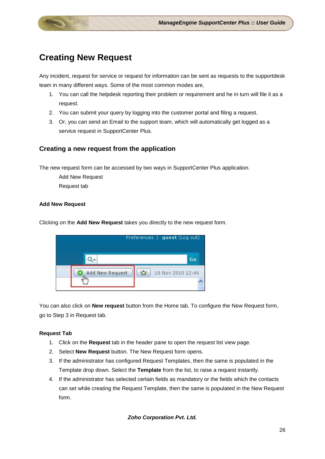## <span id="page-26-0"></span>**Creating New Request**

Any incident, request for service or request for information can be sent as requests to the supportdesk team in many different ways. Some of the most common modes are,

- 1. You can call the helpdesk reporting their problem or requirement and he in turn will file it as a request.
- 2. You can submit your query by logging into the customer portal and filing a request.
- 3. Or, you can send an Email to the support team, which will automatically get logged as a service request in SupportCenter Plus.

#### **Creating a new request from the application**

The new request form can be accessed by two ways in SupportCenter Plus application.

Add New Request

Request tab

#### **Add New Request**

Clicking on the **Add New Request** takes you directly to the new request form.

|                 | Preferences   guest (Log out) |
|-----------------|-------------------------------|
|                 | Go                            |
| Add New Request | 迩<br>18 Nov 2010 12:46        |
|                 |                               |

You can also click on **New request** button from the Home tab. To configure the New Request form, go to Step 3 in Request tab.

#### **Request Tab**

- 1. Click on the **Request** tab in the header pane to open the request list view page.
- 2. Select **New Request** button. The New Request form opens.
- 3. If the administrator has configured Request Templates, then the same is populated in the Template drop down. Select the **Template** from the list, to raise a request instantly.
- 4. If the administrator has selected certain fields as mandatory or the fields which the contacts can set while creating the Request Template, then the same is populated in the New Request form.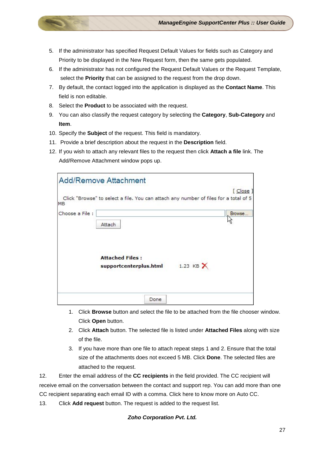- 5. If the administrator has specified Request Default Values for fields such as Category and Priority to be displayed in the New Request form, then the same gets populated.
- 6. If the administrator has not configured the Request Default Values or the Request Template, select the **Priority** that can be assigned to the request from the drop down.
- 7. By default, the contact logged into the application is displayed as the **Contact Name**. This field is non editable.
- 8. Select the **Product** to be associated with the request.
- 9. You can also classify the request category by selecting the **Category**, **Sub-Category** and **Item**.
- 10. Specify the **Subject** of the request. This field is mandatory.
- 11. Provide a brief description about the request in the **Description** field.
- 12. If you wish to attach any relevant files to the request then click **Attach a file** link. The Add/Remove Attachment window pops up.

|                | <b>Add/Remove Attachment</b>                                                         |         |
|----------------|--------------------------------------------------------------------------------------|---------|
| <b>MB</b>      | Click "Browse" to select a file. You can attach any number of files for a total of 5 | [ Close |
| Choose a File: | Attach                                                                               | Browse  |
|                | <b>Attached Files:</b><br>1.23 KB $\times$<br>supportcenterplus.html                 |         |
|                | Done                                                                                 |         |

- 1. Click **Browse** button and select the file to be attached from the file chooser window. Click **Open** button.
- 2. Click **Attach** button. The selected file is listed under **Attached Files** along with size of the file.
- 3. If you have more than one file to attach repeat steps 1 and 2. Ensure that the total size of the attachments does not exceed 5 MB. Click **Done**. The selected files are attached to the request.

12. Enter the email address of the **CC recipients** in the field provided. The CC recipient will receive email on the conversation between the contact and support rep. You can add more than one CC recipient separating each email ID with a comma. Click here to know more on Auto CC.

13. Click **Add request** button. The request is added to the request list.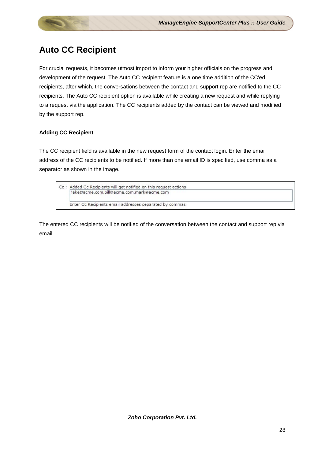## <span id="page-28-0"></span>**Auto CC Recipient**

For crucial requests, it becomes utmost import to inform your higher officials on the progress and development of the request. The Auto CC recipient feature is a one time addition of the CC'ed recipients, after which, the conversations between the contact and support rep are notified to the CC recipients. The Auto CC recipient option is available while creating a new request and while replying to a request via the application. The CC recipients added by the contact can be viewed and modified by the support rep.

#### **Adding CC Recipient**

The CC recipient field is available in the new request form of the contact login. Enter the email address of the CC recipients to be notified. If more than one email ID is specified, use comma as a separator as shown in the image.



The entered CC recipients will be notified of the conversation between the contact and support rep via email.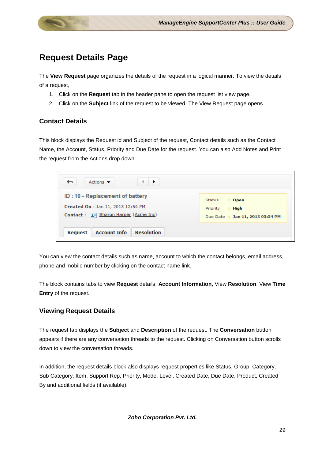## <span id="page-29-0"></span>**Request Details Page**

The **View Request** page organizes the details of the request in a logical manner. To view the details of a request,

- 1. Click on the **Request** tab in the header pane to open the request list view page.
- 2. Click on the **Subject** link of the request to be viewed. The View Request page opens.

#### **Contact Details**

This block displays the Request id and Subject of the request, Contact details such as the Contact Name, the Account, Status, Priority and Due Date for the request. You can also Add Notes and Print the request from the Actions drop down.

| ID: 10 - Replacement of battery<br>Created On : Jan 11, 2013 12:54 PM<br>Contact : 1 Sharon Harper (Acme Inc) | <b>Status</b><br>: Open<br>$:$ High<br>Priority<br>Due Date: Jan 11, 2013 03:54 PM |
|---------------------------------------------------------------------------------------------------------------|------------------------------------------------------------------------------------|
|                                                                                                               |                                                                                    |

You can view the contact details such as name, account to which the contact belongs, email address, phone and mobile number by clicking on the contact name link.

The block contains tabs to view **Request** details, **Account Information**, View **Resolution**, View **Time Entry** of the request.

#### **Viewing Request Details**

The request tab displays the **Subject** and **Description** of the request. The **Conversation** button appears if there are any conversation threads to the request. Clicking on Conversation button scrolls down to view the conversation threads.

In addition, the request details block also displays request properties like Status, Group, Category, Sub Category, Item, Support Rep, Priority, Mode, Level, Created Date, Due Date, Product, Created By and additional fields (if available).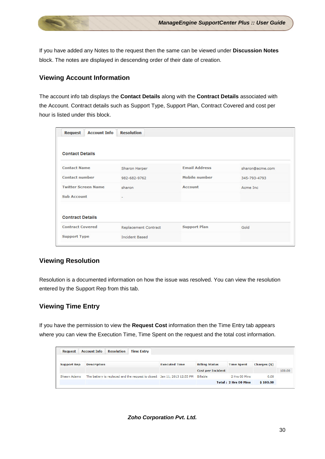If you have added any Notes to the request then the same can be viewed under **Discussion Notes** block. The notes are displayed in descending order of their date of creation.

#### **Viewing Account Information**

The account info tab displays the **Contact Details** along with the **Contract Details** associated with the Account. Contract details such as Support Type, Support Plan, Contract Covered and cost per hour is listed under this block.

| <b>Account Info</b><br><b>Request</b> | <b>Resolution</b>     |                      |                 |
|---------------------------------------|-----------------------|----------------------|-----------------|
| <b>Contact Details</b>                |                       |                      |                 |
| <b>Contact Name</b>                   | Sharon Harper         | <b>Email Address</b> | sharon@acme.com |
| <b>Contact number</b>                 | 982-682-9762          | Mobile number        | 345-793-4793    |
| <b>Twitter Screen Name</b>            | sharon                | <b>Account</b>       | Acme Inc.       |
| <b>Sub Account</b>                    | ÷                     |                      |                 |
| <b>Contract Details</b>               |                       |                      |                 |
| <b>Contract Covered</b>               | Replacement Contract  | <b>Support Plan</b>  | Gold            |
| <b>Support Type</b>                   | <b>Incident Based</b> |                      |                 |

#### **Viewing Resolution**

Resolution is a documented information on how the issue was resolved. You can view the resolution entered by the Support Rep from this tab.

#### **Viewing Time Entry**

If you have the permission to view the **Request Cost** information then the Time Entry tab appears where you can view the Execution Time, Time Spent on the request and the total cost information.

| <b>Request</b>     | <b>Account Info</b> | <b>Resolution</b> | <b>Time Entry</b> |                                                                          |                          |                      |              |        |
|--------------------|---------------------|-------------------|-------------------|--------------------------------------------------------------------------|--------------------------|----------------------|--------------|--------|
| <b>Support Rep</b> | <b>Description</b>  |                   |                   | <b>Executed Time</b>                                                     | <b>Billing Status</b>    | <b>Time Spent</b>    | Charges (\$) |        |
|                    |                     |                   |                   |                                                                          | <b>Cost per Incident</b> |                      |              | 100.00 |
| Shawn Adams        |                     |                   |                   | The battery is replaced and the request is closed. Jan 11, 2013 12:55 PM | <b>Billable</b>          | 2 Hrs 00 Mins        | 0.00         |        |
|                    |                     |                   |                   |                                                                          |                          | Total: 2 Hrs 00 Mins | \$100.00     |        |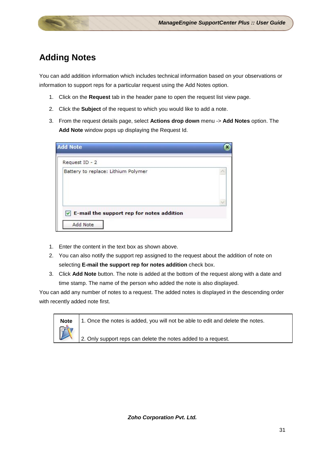## <span id="page-31-0"></span>**Adding Notes**

You can add addition information which includes technical information based on your observations or information to support reps for a particular request using the Add Notes option.

- 1. Click on the **Request** tab in the header pane to open the request list view page.
- 2. Click the **Subject** of the request to which you would like to add a note.
- 3. From the request details page, select **Actions drop down** menu -> **Add Notes** option. The **Add Note** window pops up displaying the Request Id.

- 1. Enter the content in the text box as shown above.
- 2. You can also notify the support rep assigned to the request about the addition of note on selecting **E-mail the support rep for notes addition** check box.
- 3. Click **Add Note** button. The note is added at the bottom of the request along with a date and time stamp. The name of the person who added the note is also displayed.

You can add any number of notes to a request. The added notes is displayed in the descending order with recently added note first.

|              | <b>Note</b> $\vert$ 1. Once the notes is added, you will not be able to edit and delete the notes. |
|--------------|----------------------------------------------------------------------------------------------------|
| $\mathbb{Z}$ | 2. Only support reps can delete the notes added to a request.                                      |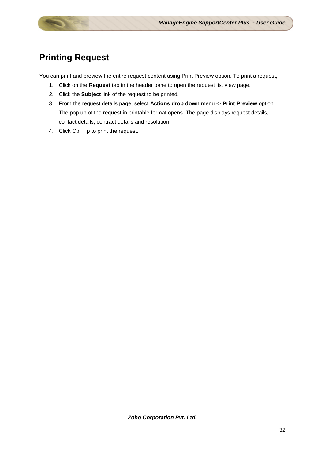## <span id="page-32-0"></span>**Printing Request**

You can print and preview the entire request content using Print Preview option. To print a request,

- 1. Click on the **Request** tab in the header pane to open the request list view page.
- 2. Click the **Subject** link of the request to be printed.
- 3. From the request details page, select **Actions drop down** menu -> **Print Preview** option. The pop up of the request in printable format opens. The page displays request details, contact details, contract details and resolution.
- 4. Click Ctrl + p to print the request.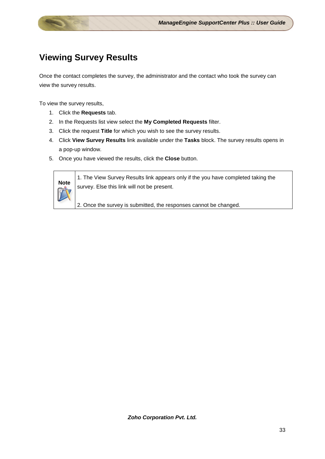## <span id="page-33-0"></span>**Viewing Survey Results**

Once the contact completes the survey, the administrator and the contact who took the survey can view the survey results.

To view the survey results,

- 1. Click the **Requests** tab.
- 2. In the Requests list view select the **My Completed Requests** filter.
- 3. Click the request **Title** for which you wish to see the survey results.
- 4. Click **View Survey Results** link available under the **Tasks** block. The survey results opens in a pop-up window.
- 5. Once you have viewed the results, click the **Close** button.



**Note** 1. The View Survey Results link appears only if the you have completed taking the **Note** survey. Else this link will not be present.

2. Once the survey is submitted, the responses cannot be changed.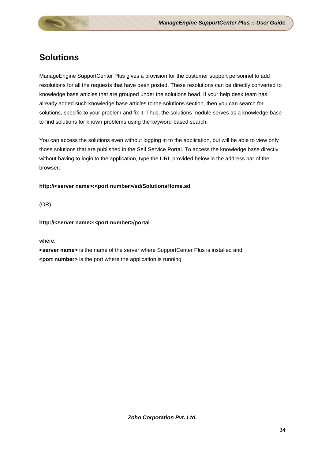## <span id="page-34-0"></span>**Solutions**

ManageEngine SupportCenter Plus gives a provision for the customer support personnel to add resolutions for all the requests that have been posted. These resolutions can be directly converted to knowledge base articles that are grouped under the solutions head. If your help desk team has already added such knowledge base articles to the solutions section, then you can search for solutions, specific to your problem and fix it. Thus, the solutions module serves as a knowledge base to find solutions for known problems using the keyword-based search.

You can access the solutions even without logging in to the application, but will be able to view only those solutions that are published in the Self Service Portal. To access the knowledge base directly without having to login to the application, type the URL provided below in the address bar of the browser:

#### **http://<server name>:<port number>/sd/SolutionsHome.sd**

(OR)

#### **http://<server name>:<port number>/portal**

#### where,

**<server name>** is the name of the server where SupportCenter Plus is installed and **<port number>** is the port where the application is running.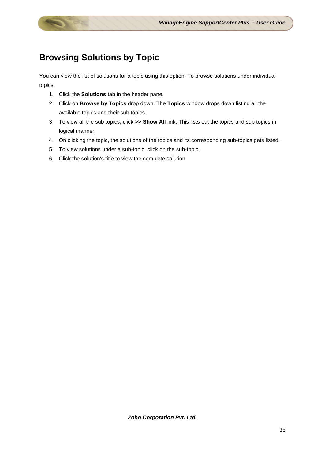## <span id="page-35-0"></span>**Browsing Solutions by Topic**

You can view the list of solutions for a topic using this option. To browse solutions under individual topics,

- 1. Click the **Solutions** tab in the header pane.
- 2. Click on **Browse by Topics** drop down. The **Topics** window drops down listing all the available topics and their sub topics.
- 3. To view all the sub topics, click **>> Show All** link. This lists out the topics and sub topics in logical manner.
- 4. On clicking the topic, the solutions of the topics and its corresponding sub-topics gets listed.
- 5. To view solutions under a sub-topic, click on the sub-topic.
- 6. Click the solution's title to view the complete solution.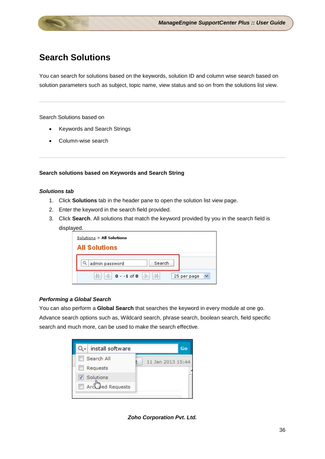## <span id="page-36-0"></span>**Search Solutions**

You can search for solutions based on the keywords, solution ID and column wise search based on solution parameters such as subject, topic name, view status and so on from the solutions list view.

Search Solutions based on

- Keywords and Search Strings
- Column-wise search

#### **Search solutions based on Keywords and Search String**

#### *Solutions tab*

- 1. Click **Solutions** tab in the header pane to open the solution list view page.
- 2. Enter the keyword in the search field provided.
- 3. Click **Search**. All solutions that match the keyword provided by you in the search field is displayed.

| Solutions > All Solutions<br><b>All Solutions</b> |             |
|---------------------------------------------------|-------------|
| admin password                                    | Search      |
| $0 - -1$ of $0$                                   | 25 per page |

#### *Performing a Global Search*

You can also perform a **Global Search** that searches the keyword in every module at one go. Advance search options such as, Wildcard search, phrase search, boolean search, field specific search and much more, can be used to make the search effective.



*Zoho Corporation Pvt. Ltd.*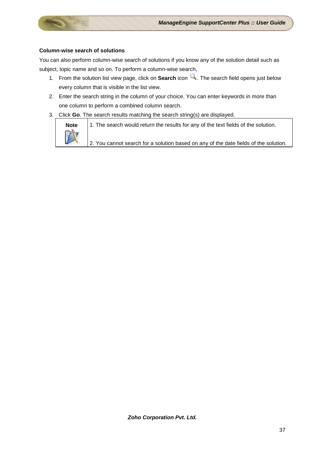#### **Column-wise search of solutions**

You can also perform column-wise search of solutions if you know any of the solution detail such as subject, topic name and so on. To perform a column-wise search,

- 1. From the solution list view page, click on **Search** icon **4**. The search field opens just below every column that is visible in the list view.
- 2. Enter the search string in the column of your choice. You can enter keywords in more than one column to perform a combined column search.
- 3. Click **Go**. The search results matching the search string(s) are displayed.



**Note** 1. The search would return the results for any of the text fields of the solution.

2. You cannot search for a solution based on any of the date fields of the solution.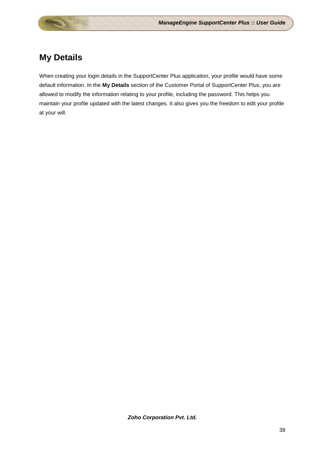## <span id="page-38-0"></span>**My Details**

When creating your login details in the SupportCenter Plus application, your profile would have some default information. In the **My Details** section of the Customer Portal of SupportCenter Plus, you are allowed to modify the information relating to your profile, including the password. This helps you maintain your profile updated with the latest changes. It also gives you the freedom to edit your profile at your will.